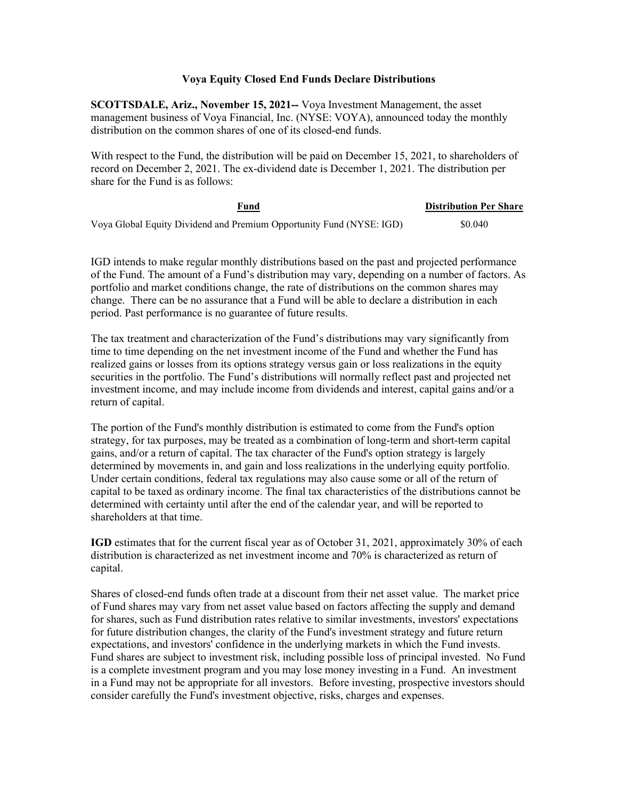## **Voya Equity Closed End Funds Declare Distributions**

**SCOTTSDALE, Ariz., November 15, 2021--** Voya Investment Management, the asset management business of Voya Financial, Inc. (NYSE: VOYA), announced today the monthly distribution on the common shares of one of its closed-end funds.

With respect to the Fund, the distribution will be paid on December 15, 2021, to shareholders of record on December 2, 2021. The ex-dividend date is December 1, 2021. The distribution per share for the Fund is as follows:

| Fund                                                                 | <b>Distribution Per Share</b> |
|----------------------------------------------------------------------|-------------------------------|
| Voya Global Equity Dividend and Premium Opportunity Fund (NYSE: IGD) | \$0.040                       |

IGD intends to make regular monthly distributions based on the past and projected performance of the Fund. The amount of a Fund's distribution may vary, depending on a number of factors. As portfolio and market conditions change, the rate of distributions on the common shares may change. There can be no assurance that a Fund will be able to declare a distribution in each period. Past performance is no guarantee of future results.

The tax treatment and characterization of the Fund's distributions may vary significantly from time to time depending on the net investment income of the Fund and whether the Fund has realized gains or losses from its options strategy versus gain or loss realizations in the equity securities in the portfolio. The Fund's distributions will normally reflect past and projected net investment income, and may include income from dividends and interest, capital gains and/or a return of capital.

The portion of the Fund's monthly distribution is estimated to come from the Fund's option strategy, for tax purposes, may be treated as a combination of long-term and short-term capital gains, and/or a return of capital. The tax character of the Fund's option strategy is largely determined by movements in, and gain and loss realizations in the underlying equity portfolio. Under certain conditions, federal tax regulations may also cause some or all of the return of capital to be taxed as ordinary income. The final tax characteristics of the distributions cannot be determined with certainty until after the end of the calendar year, and will be reported to shareholders at that time.

**IGD** estimates that for the current fiscal year as of October 31, 2021, approximately 30% of each distribution is characterized as net investment income and 70% is characterized as return of capital.

Shares of closed-end funds often trade at a discount from their net asset value. The market price of Fund shares may vary from net asset value based on factors affecting the supply and demand for shares, such as Fund distribution rates relative to similar investments, investors' expectations for future distribution changes, the clarity of the Fund's investment strategy and future return expectations, and investors' confidence in the underlying markets in which the Fund invests. Fund shares are subject to investment risk, including possible loss of principal invested. No Fund is a complete investment program and you may lose money investing in a Fund. An investment in a Fund may not be appropriate for all investors. Before investing, prospective investors should consider carefully the Fund's investment objective, risks, charges and expenses.